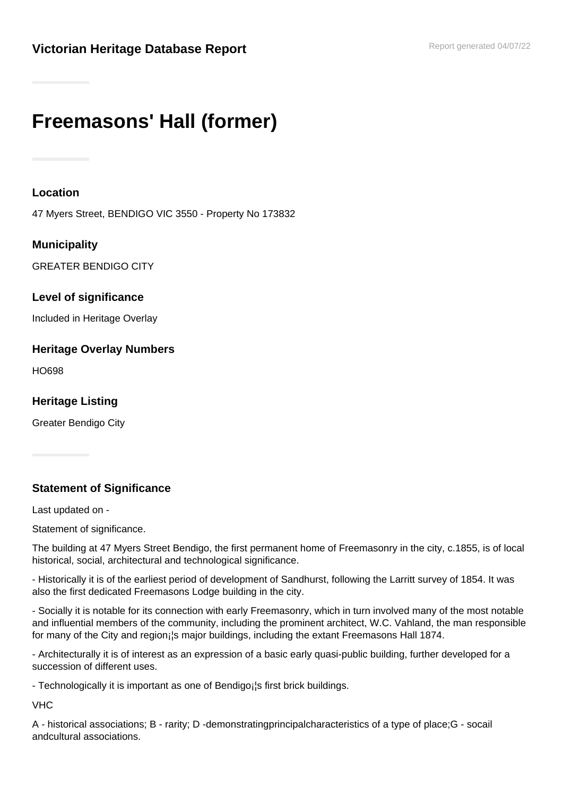# **Freemasons' Hall (former)**

#### **Location**

47 Myers Street, BENDIGO VIC 3550 - Property No 173832

## **Municipality**

GREATER BENDIGO CITY

#### **Level of significance**

Included in Heritage Overlay

## **Heritage Overlay Numbers**

HO698

**Heritage Listing**

Greater Bendigo City

## **Statement of Significance**

Last updated on -

Statement of significance.

The building at 47 Myers Street Bendigo, the first permanent home of Freemasonry in the city, c.1855, is of local historical, social, architectural and technological significance.

- Historically it is of the earliest period of development of Sandhurst, following the Larritt survey of 1854. It was also the first dedicated Freemasons Lodge building in the city.

- Socially it is notable for its connection with early Freemasonry, which in turn involved many of the most notable and influential members of the community, including the prominent architect, W.C. Vahland, the man responsible for many of the City and region¡¦s major buildings, including the extant Freemasons Hall 1874.

- Architecturally it is of interest as an expression of a basic early quasi-public building, further developed for a succession of different uses.

- Technologically it is important as one of Bendigo; is first brick buildings.

VHC

A - historical associations; B - rarity; D -demonstratingprincipalcharacteristics of a type of place;G - socail andcultural associations.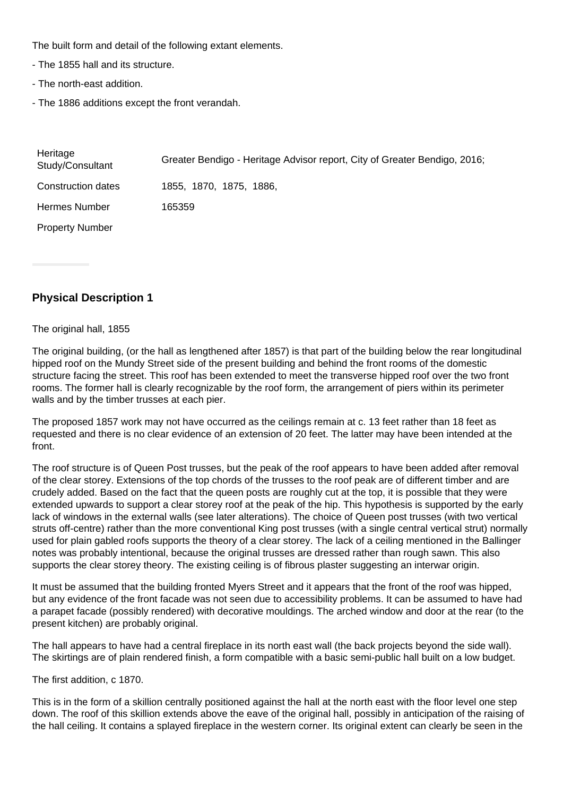The built form and detail of the following extant elements.

- The 1855 hall and its structure.
- The north-east addition.
- The 1886 additions except the front verandah.

| Heritage<br>Study/Consultant | Greater Bendigo - Heritage Advisor report, City of Greater Bendigo, 2016; |
|------------------------------|---------------------------------------------------------------------------|
| <b>Construction dates</b>    | 1855, 1870, 1875, 1886,                                                   |
| <b>Hermes Number</b>         | 165359                                                                    |
| <b>Property Number</b>       |                                                                           |

#### **Physical Description 1**

#### The original hall, 1855

The original building, (or the hall as lengthened after 1857) is that part of the building below the rear longitudinal hipped roof on the Mundy Street side of the present building and behind the front rooms of the domestic structure facing the street. This roof has been extended to meet the transverse hipped roof over the two front rooms. The former hall is clearly recognizable by the roof form, the arrangement of piers within its perimeter walls and by the timber trusses at each pier.

The proposed 1857 work may not have occurred as the ceilings remain at c. 13 feet rather than 18 feet as requested and there is no clear evidence of an extension of 20 feet. The latter may have been intended at the front.

The roof structure is of Queen Post trusses, but the peak of the roof appears to have been added after removal of the clear storey. Extensions of the top chords of the trusses to the roof peak are of different timber and are crudely added. Based on the fact that the queen posts are roughly cut at the top, it is possible that they were extended upwards to support a clear storey roof at the peak of the hip. This hypothesis is supported by the early lack of windows in the external walls (see later alterations). The choice of Queen post trusses (with two vertical struts off-centre) rather than the more conventional King post trusses (with a single central vertical strut) normally used for plain gabled roofs supports the theory of a clear storey. The lack of a ceiling mentioned in the Ballinger notes was probably intentional, because the original trusses are dressed rather than rough sawn. This also supports the clear storey theory. The existing ceiling is of fibrous plaster suggesting an interwar origin.

It must be assumed that the building fronted Myers Street and it appears that the front of the roof was hipped, but any evidence of the front facade was not seen due to accessibility problems. It can be assumed to have had a parapet facade (possibly rendered) with decorative mouldings. The arched window and door at the rear (to the present kitchen) are probably original.

The hall appears to have had a central fireplace in its north east wall (the back projects beyond the side wall). The skirtings are of plain rendered finish, a form compatible with a basic semi-public hall built on a low budget.

The first addition, c 1870.

This is in the form of a skillion centrally positioned against the hall at the north east with the floor level one step down. The roof of this skillion extends above the eave of the original hall, possibly in anticipation of the raising of the hall ceiling. It contains a splayed fireplace in the western corner. Its original extent can clearly be seen in the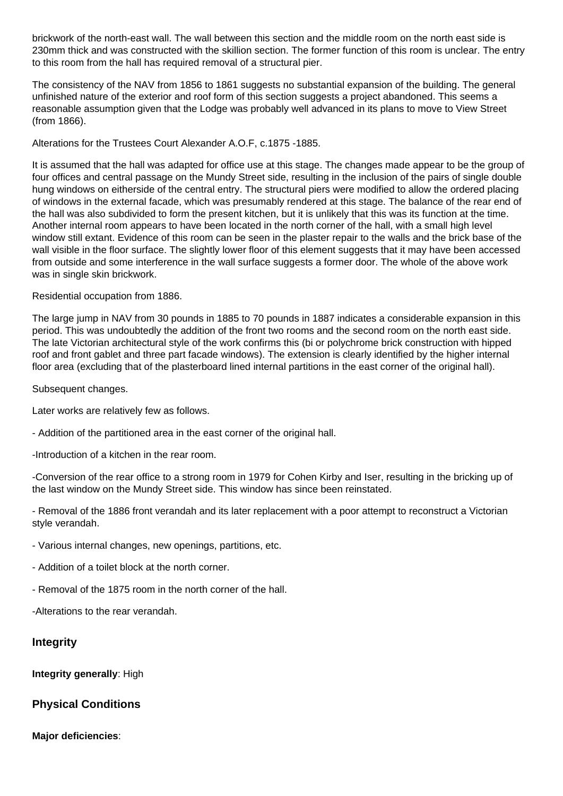brickwork of the north-east wall. The wall between this section and the middle room on the north east side is 230mm thick and was constructed with the skillion section. The former function of this room is unclear. The entry to this room from the hall has required removal of a structural pier.

The consistency of the NAV from 1856 to 1861 suggests no substantial expansion of the building. The general unfinished nature of the exterior and roof form of this section suggests a project abandoned. This seems a reasonable assumption given that the Lodge was probably well advanced in its plans to move to View Street (from 1866).

Alterations for the Trustees Court Alexander A.O.F, c.1875 -1885.

It is assumed that the hall was adapted for office use at this stage. The changes made appear to be the group of four offices and central passage on the Mundy Street side, resulting in the inclusion of the pairs of single double hung windows on eitherside of the central entry. The structural piers were modified to allow the ordered placing of windows in the external facade, which was presumably rendered at this stage. The balance of the rear end of the hall was also subdivided to form the present kitchen, but it is unlikely that this was its function at the time. Another internal room appears to have been located in the north corner of the hall, with a small high level window still extant. Evidence of this room can be seen in the plaster repair to the walls and the brick base of the wall visible in the floor surface. The slightly lower floor of this element suggests that it may have been accessed from outside and some interference in the wall surface suggests a former door. The whole of the above work was in single skin brickwork.

#### Residential occupation from 1886.

The large jump in NAV from 30 pounds in 1885 to 70 pounds in 1887 indicates a considerable expansion in this period. This was undoubtedly the addition of the front two rooms and the second room on the north east side. The late Victorian architectural style of the work confirms this (bi or polychrome brick construction with hipped roof and front gablet and three part facade windows). The extension is clearly identified by the higher internal floor area (excluding that of the plasterboard lined internal partitions in the east corner of the original hall).

Subsequent changes.

Later works are relatively few as follows.

- Addition of the partitioned area in the east corner of the original hall.

-Introduction of a kitchen in the rear room.

-Conversion of the rear office to a strong room in 1979 for Cohen Kirby and Iser, resulting in the bricking up of the last window on the Mundy Street side. This window has since been reinstated.

- Removal of the 1886 front verandah and its later replacement with a poor attempt to reconstruct a Victorian style verandah.

- Various internal changes, new openings, partitions, etc.

- Addition of a toilet block at the north corner.

- Removal of the 1875 room in the north corner of the hall.

-Alterations to the rear verandah.

#### **Integrity**

**Integrity generally**: High

#### **Physical Conditions**

**Major deficiencies**: